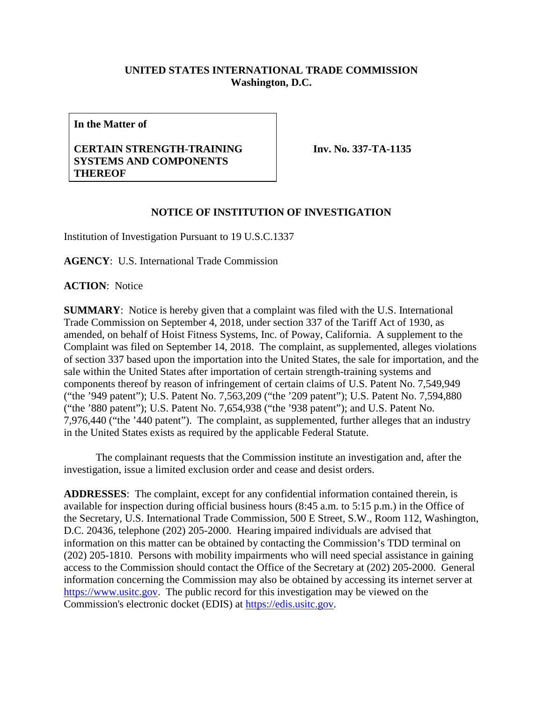## **UNITED STATES INTERNATIONAL TRADE COMMISSION Washington, D.C.**

**In the Matter of**

## **CERTAIN STRENGTH-TRAINING SYSTEMS AND COMPONENTS THEREOF**

**Inv. No. 337-TA-1135**

## **NOTICE OF INSTITUTION OF INVESTIGATION**

Institution of Investigation Pursuant to 19 U.S.C.1337

**AGENCY**: U.S. International Trade Commission

**ACTION**: Notice

**SUMMARY**: Notice is hereby given that a complaint was filed with the U.S. International Trade Commission on September 4, 2018, under section 337 of the Tariff Act of 1930, as amended, on behalf of Hoist Fitness Systems, Inc. of Poway, California. A supplement to the Complaint was filed on September 14, 2018. The complaint, as supplemented, alleges violations of section 337 based upon the importation into the United States, the sale for importation, and the sale within the United States after importation of certain strength-training systems and components thereof by reason of infringement of certain claims of U.S. Patent No. 7,549,949 ("the '949 patent"); U.S. Patent No. 7,563,209 ("the '209 patent"); U.S. Patent No. 7,594,880 ("the '880 patent"); U.S. Patent No. 7,654,938 ("the '938 patent"); and U.S. Patent No. 7,976,440 ("the '440 patent"). The complaint, as supplemented, further alleges that an industry in the United States exists as required by the applicable Federal Statute.

The complainant requests that the Commission institute an investigation and, after the investigation, issue a limited exclusion order and cease and desist orders.

**ADDRESSES**: The complaint, except for any confidential information contained therein, is available for inspection during official business hours (8:45 a.m. to 5:15 p.m.) in the Office of the Secretary, U.S. International Trade Commission, 500 E Street, S.W., Room 112, Washington, D.C. 20436, telephone (202) 205-2000. Hearing impaired individuals are advised that information on this matter can be obtained by contacting the Commission's TDD terminal on (202) 205-1810. Persons with mobility impairments who will need special assistance in gaining access to the Commission should contact the Office of the Secretary at (202) 205-2000. General information concerning the Commission may also be obtained by accessing its internet server at [https://www.usitc.gov.](https://www.usitc.gov/) The public record for this investigation may be viewed on the Commission's electronic docket (EDIS) at [https://edis.usitc.gov.](https://edis.usitc.gov/)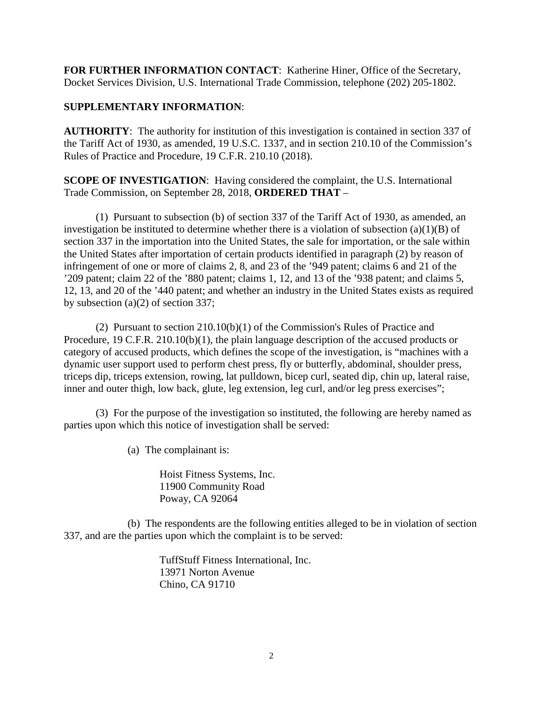**FOR FURTHER INFORMATION CONTACT**: Katherine Hiner, Office of the Secretary, Docket Services Division, U.S. International Trade Commission, telephone (202) 205-1802.

## **SUPPLEMENTARY INFORMATION**:

**AUTHORITY**: The authority for institution of this investigation is contained in section 337 of the Tariff Act of 1930, as amended, 19 U.S.C. 1337, and in section 210.10 of the Commission's Rules of Practice and Procedure, 19 C.F.R. 210.10 (2018).

**SCOPE OF INVESTIGATION**: Having considered the complaint, the U.S. International Trade Commission, on September 28, 2018, **ORDERED THAT** –

(1) Pursuant to subsection (b) of section 337 of the Tariff Act of 1930, as amended, an investigation be instituted to determine whether there is a violation of subsection  $(a)(1)(B)$  of section 337 in the importation into the United States, the sale for importation, or the sale within the United States after importation of certain products identified in paragraph (2) by reason of infringement of one or more of claims 2, 8, and 23 of the '949 patent; claims 6 and 21 of the '209 patent; claim 22 of the '880 patent; claims 1, 12, and 13 of the '938 patent; and claims 5, 12, 13, and 20 of the '440 patent; and whether an industry in the United States exists as required by subsection (a)(2) of section 337;

(2) Pursuant to section 210.10(b)(1) of the Commission's Rules of Practice and Procedure, 19 C.F.R. 210.10(b)(1), the plain language description of the accused products or category of accused products, which defines the scope of the investigation, is "machines with a dynamic user support used to perform chest press, fly or butterfly, abdominal, shoulder press, triceps dip, triceps extension, rowing, lat pulldown, bicep curl, seated dip, chin up, lateral raise, inner and outer thigh, low back, glute, leg extension, leg curl, and/or leg press exercises";

(3) For the purpose of the investigation so instituted, the following are hereby named as parties upon which this notice of investigation shall be served:

(a) The complainant is:

Hoist Fitness Systems, Inc. 11900 Community Road Poway, CA 92064

(b) The respondents are the following entities alleged to be in violation of section 337, and are the parties upon which the complaint is to be served:

> TuffStuff Fitness International, Inc. 13971 Norton Avenue Chino, CA 91710